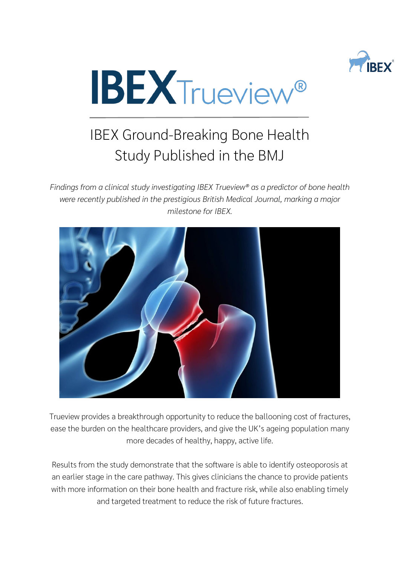



## IBEX Ground-Breaking Bone Health Study Published in the BMJ

*Findings from a clinical study investigating IBEX Trueview® as a predictor of bone health were recently published in the prestigious British Medical Journal, marking a major milestone for IBEX.*



Trueview provides a breakthrough opportunity to reduce the ballooning cost of fractures, ease the burden on the healthcare providers, and give the UK's ageing population many more decades of healthy, happy, active life.

Results from the study demonstrate that the software is able to identify osteoporosis at an earlier stage in the care pathway. This gives clinicians the chance to provide patients with more information on their bone health and fracture risk, while also enabling timely and targeted treatment to reduce the risk of future fractures.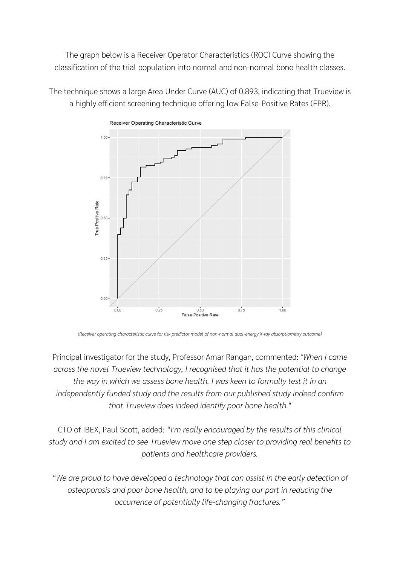The graph below is a Receiver Operator Characteristics (ROC) Curve showing the classification of the trial population into normal and non-normal bone health classes.

The technique shows a large Area Under Curve (AUC) of 0.893, indicating that Trueview is a highly efficient screening technique offering low False-Positive Rates (FPR).



*(Receiver operating characteristic curve for risk predictor model of non-normal dual-energy X-ray absorptiometry outcome)*

Principal investigator for the study, Professor Amar Rangan, commented: *"When I came across the novel Trueview technology, I recognised that it has the potential to change the way in which we assess bone health. I was keen to formally test it in an independently funded study and the results from our published study indeed confirm that Trueview does indeed identify poor bone health."*

CTO of IBEX, Paul Scott, added: *"I'm really encouraged by the results of this clinical study and I am excited to see Trueview move one step closer to providing real benefits to patients and healthcare providers.*

*"We are proud to have developed a technology that can assist in the early detection of osteoporosis and poor bone health, and to be playing our part in reducing the occurrence of potentially life-changing fractures."*